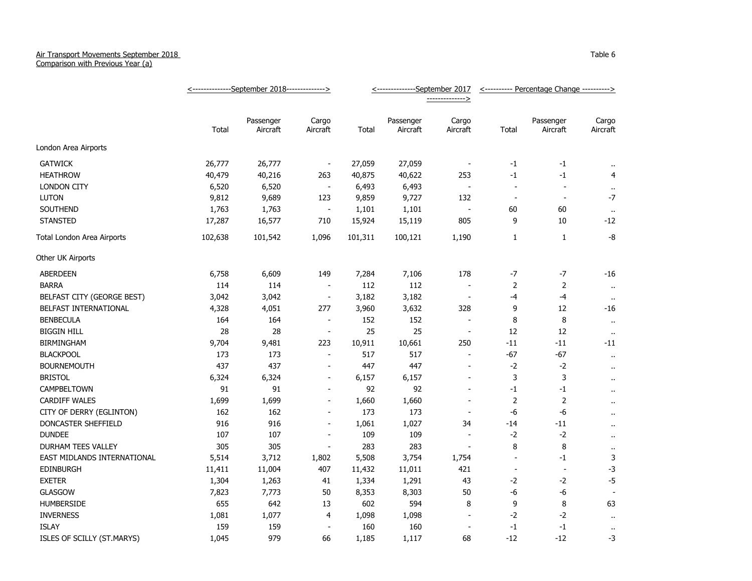## Air Transport Movements September 2018

Comparison with Previous Year (a)

|                             | <---------------September 2018---------------> |           |                          | <---------------September 2017 |           |                          | <---------- Percentage Change ----------> |                          |                      |
|-----------------------------|------------------------------------------------|-----------|--------------------------|--------------------------------|-----------|--------------------------|-------------------------------------------|--------------------------|----------------------|
|                             |                                                |           |                          |                                |           | -------------->          |                                           |                          |                      |
|                             |                                                | Passenger | Cargo                    |                                | Passenger | Cargo                    |                                           | Passenger                | Cargo                |
|                             | Total                                          | Aircraft  | Aircraft                 | Total                          | Aircraft  | Aircraft                 | Total                                     | Aircraft                 | Aircraft             |
| London Area Airports        |                                                |           |                          |                                |           |                          |                                           |                          |                      |
| <b>GATWICK</b>              | 26,777                                         | 26,777    | $\overline{\phantom{a}}$ | 27,059                         | 27,059    | $\overline{a}$           | $-1$                                      | $-1$                     | $\bullet$ .          |
| <b>HEATHROW</b>             | 40,479                                         | 40,216    | 263                      | 40,875                         | 40,622    | 253                      | $-1$                                      | $-1$                     | $\overline{4}$       |
| <b>LONDON CITY</b>          | 6,520                                          | 6,520     | $\blacksquare$           | 6,493                          | 6,493     | $\overline{a}$           | $\blacksquare$                            | $\overline{\phantom{a}}$ | $\cdot$ .            |
| <b>LUTON</b>                | 9,812                                          | 9,689     | 123                      | 9,859                          | 9,727     | 132                      | $\overline{\phantom{a}}$                  | $\sim$                   | $-7$                 |
| SOUTHEND                    | 1,763                                          | 1,763     | $\overline{\phantom{a}}$ | 1,101                          | 1,101     | $\overline{a}$           | 60                                        | 60                       | $\cdots$             |
| <b>STANSTED</b>             | 17,287                                         | 16,577    | 710                      | 15,924                         | 15,119    | 805                      | 9                                         | 10                       | $-12$                |
| Total London Area Airports  | 102,638                                        | 101,542   | 1,096                    | 101,311                        | 100,121   | 1,190                    | 1                                         | $\mathbf{1}$             | $-8$                 |
| Other UK Airports           |                                                |           |                          |                                |           |                          |                                           |                          |                      |
| <b>ABERDEEN</b>             | 6,758                                          | 6,609     | 149                      | 7,284                          | 7,106     | 178                      | -7                                        | $-7$                     | $-16$                |
| <b>BARRA</b>                | 114                                            | 114       | $\overline{\phantom{a}}$ | 112                            | 112       |                          | $\overline{2}$                            | $\overline{2}$           | $\bullet$ .          |
| BELFAST CITY (GEORGE BEST)  | 3,042                                          | 3,042     | $\blacksquare$           | 3,182                          | 3,182     | $\overline{\phantom{a}}$ | $-4$                                      | $-4$                     | $\alpha$             |
| BELFAST INTERNATIONAL       | 4,328                                          | 4,051     | 277                      | 3,960                          | 3,632     | 328                      | 9                                         | 12                       | $-16$                |
| <b>BENBECULA</b>            | 164                                            | 164       | $\overline{\phantom{a}}$ | 152                            | 152       |                          | 8                                         | 8                        | $\bullet\bullet$     |
| <b>BIGGIN HILL</b>          | 28                                             | 28        | $\overline{\phantom{a}}$ | 25                             | 25        | $\overline{\phantom{a}}$ | 12                                        | 12                       | $\ddotsc$            |
| <b>BIRMINGHAM</b>           | 9,704                                          | 9,481     | 223                      | 10,911                         | 10,661    | 250                      | $-11$                                     | $-11$                    | $-11$                |
| <b>BLACKPOOL</b>            | 173                                            | 173       | $\blacksquare$           | 517                            | 517       | $\overline{\phantom{a}}$ | $-67$                                     | $-67$                    | $\bullet$ .          |
| <b>BOURNEMOUTH</b>          | 437                                            | 437       | $\blacksquare$           | 447                            | 447       | $\overline{a}$           | $-2$                                      | $-2$                     | $\sim$               |
| <b>BRISTOL</b>              | 6,324                                          | 6,324     | $\blacksquare$           | 6,157                          | 6,157     | $\overline{\phantom{a}}$ | 3                                         | 3                        | $\bullet$ .          |
| CAMPBELTOWN                 | 91                                             | 91        | $\blacksquare$           | 92                             | 92        | $\overline{a}$           | $-1$                                      | $-1$                     | $\mathbf{r}$ .       |
| <b>CARDIFF WALES</b>        | 1,699                                          | 1,699     | $\overline{\phantom{0}}$ | 1,660                          | 1,660     | $\overline{a}$           | $\overline{2}$                            | $\overline{2}$           | $\ddot{\phantom{a}}$ |
| CITY OF DERRY (EGLINTON)    | 162                                            | 162       | $\overline{a}$           | 173                            | 173       |                          | -6                                        | -6                       | $\bullet$ .          |
| DONCASTER SHEFFIELD         | 916                                            | 916       | $\overline{\phantom{a}}$ | 1,061                          | 1,027     | 34                       | $-14$                                     | $-11$                    | $\cdot$ .            |
| <b>DUNDEE</b>               | 107                                            | 107       | $\overline{a}$           | 109                            | 109       | $\overline{\phantom{a}}$ | $-2$                                      | $-2$                     | $\ddot{\phantom{a}}$ |
| DURHAM TEES VALLEY          | 305                                            | 305       | $\blacksquare$           | 283                            | 283       | $\overline{\phantom{a}}$ | 8                                         | 8                        | $\bullet$            |
| EAST MIDLANDS INTERNATIONAL | 5,514                                          | 3,712     | 1,802                    | 5,508                          | 3,754     | 1,754                    |                                           | $-1$                     | 3                    |
| <b>EDINBURGH</b>            | 11,411                                         | 11,004    | 407                      | 11,432                         | 11,011    | 421                      | $\overline{\phantom{a}}$                  | $\overline{a}$           | $-3$                 |
| <b>EXETER</b>               | 1,304                                          | 1,263     | 41                       | 1,334                          | 1,291     | 43                       | $-2$                                      | $-2$                     | $-5$                 |
| GLASGOW                     | 7,823                                          | 7,773     | 50                       | 8,353                          | 8,303     | 50                       | -6                                        | -6                       |                      |
| HUMBERSIDE                  | 655                                            | 642       | 13                       | 602                            | 594       | 8                        | 9                                         | $\, 8$                   | 63                   |
| <b>INVERNESS</b>            | 1,081                                          | 1,077     | 4                        | 1,098                          | 1,098     | $\sim$                   | $-2$                                      | $-2$                     | $\cdot$ .            |
| <b>ISLAY</b>                | 159                                            | 159       | $\blacksquare$           | 160                            | 160       | $\overline{a}$           | $^{\rm -1}$                               | $^{\rm -1}$              | $\bullet$            |
| ISLES OF SCILLY (ST.MARYS)  | 1,045                                          | 979       | 66                       | 1,185                          | 1,117     | 68                       | $-12$                                     | $-12$                    | -3                   |